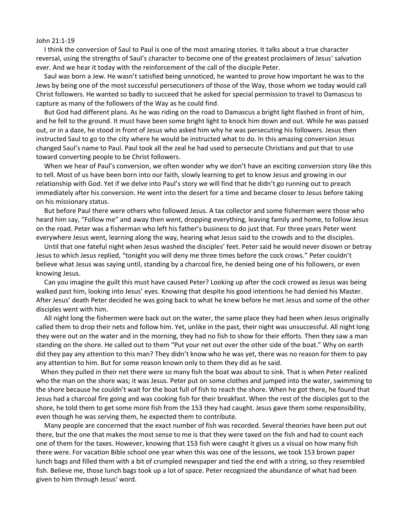## John 21:1-19

 I think the conversion of Saul to Paul is one of the most amazing stories. It talks about a true character reversal, using the strengths of Saul's character to become one of the greatest proclaimers of Jesus' salvation ever. And we hear it today with the reinforcement of the call of the disciple Peter.

 Saul was born a Jew. He wasn't satisfied being unnoticed, he wanted to prove how important he was to the Jews by being one of the most successful persecutioners of those of the Way, those whom we today would call Christ followers. He wanted so badly to succeed that he asked for special permission to travel to Damascus to capture as many of the followers of the Way as he could find.

 But God had different plans. As he was riding on the road to Damascus a bright light flashed in front of him, and he fell to the ground. It must have been some bright light to knock him down and out. While he was passed out, or in a daze, he stood in front of Jesus who asked him why he was persecuting his followers. Jesus then instructed Saul to go to the city where he would be instructed what to do. In this amazing conversion Jesus changed Saul's name to Paul. Paul took all the zeal he had used to persecute Christians and put that to use toward converting people to be Christ followers.

 When we hear of Paul's conversion, we often wonder why we don't have an exciting conversion story like this to tell. Most of us have been born into our faith, slowly learning to get to know Jesus and growing in our relationship with God. Yet if we delve into Paul's story we will find that he didn't go running out to preach immediately after his conversion. He went into the desert for a time and became closer to Jesus before taking on his missionary status.

 But before Paul there were others who followed Jesus. A tax collector and some fishermen were those who heard him say, "Follow me" and away then went, dropping everything, leaving family and home, to follow Jesus on the road. Peter was a fisherman who left his father's business to do just that. For three years Peter went everywhere Jesus went, learning along the way, hearing what Jesus said to the crowds and to the disciples.

 Until that one fateful night when Jesus washed the disciples' feet. Peter said he would never disown or betray Jesus to which Jesus replied, "tonight you will deny me three times before the cock crows." Peter couldn't believe what Jesus was saying until, standing by a charcoal fire, he denied being one of his followers, or even knowing Jesus.

 Can you imagine the guilt this must have caused Peter? Looking up after the cock crowed as Jesus was being walked past him, looking into Jesus' eyes. Knowing that despite his good intentions he had denied his Master. After Jesus' death Peter decided he was going back to what he knew before he met Jesus and some of the other disciples went with him.

 All night long the fishermen were back out on the water, the same place they had been when Jesus originally called them to drop their nets and follow him. Yet, unlike in the past, their night was unsuccessful. All night long they were out on the water and in the morning, they had no fish to show for their efforts. Then they saw a man standing on the shore. He called out to them "Put your net out over the other side of the boat." Why on earth did they pay any attention to this man? They didn't know who he was yet, there was no reason for them to pay any attention to him. But for some reason known only to them they did as he said.

 When they pulled in their net there were so many fish the boat was about to sink. That is when Peter realized who the man on the shore was; it was Jesus. Peter put on some clothes and jumped into the water, swimming to the shore because he couldn't wait for the boat full of fish to reach the shore. When he got there, he found that Jesus had a charcoal fire going and was cooking fish for their breakfast. When the rest of the disciples got to the shore, he told them to get some more fish from the 153 they had caught. Jesus gave them some responsibility, even though he was serving them, he expected them to contribute.

 Many people are concerned that the exact number of fish was recorded. Several theories have been put out there, but the one that makes the most sense to me is that they were taxed on the fish and had to count each one of them for the taxes. However, knowing that 153 fish were caught it gives us a visual on how many fish there were. For vacation Bible school one year when this was one of the lessons, we took 153 brown paper lunch bags and filled them with a bit of crumpled newspaper and tied the end with a string, so they resembled fish. Believe me, those lunch bags took up a lot of space. Peter recognized the abundance of what had been given to him through Jesus' word.